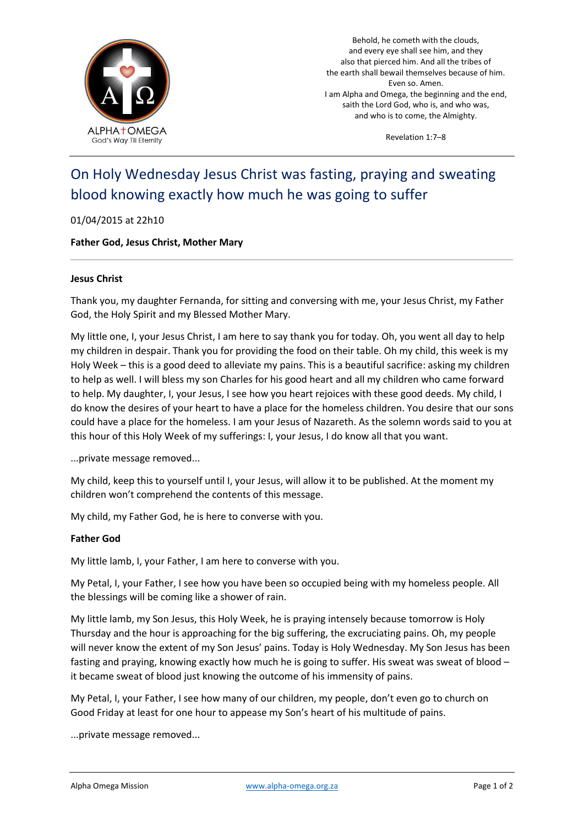

Behold, he cometh with the clouds, and every eye shall see him, and they also that pierced him. And all the tribes of the earth shall bewail themselves because of him. Even so. Amen. I am Alpha and Omega, the beginning and the end, saith the Lord God, who is, and who was, and who is to come, the Almighty.

Revelation 1:7–8

# On Holy Wednesday Jesus Christ was fasting, praying and sweating blood knowing exactly how much he was going to suffer

## 01/04/2015 at 22h10

## **Father God, Jesus Christ, Mother Mary**

## **Jesus Christ**

Thank you, my daughter Fernanda, for sitting and conversing with me, your Jesus Christ, my Father God, the Holy Spirit and my Blessed Mother Mary.

My little one, I, your Jesus Christ, I am here to say thank you for today. Oh, you went all day to help my children in despair. Thank you for providing the food on their table. Oh my child, this week is my Holy Week – this is a good deed to alleviate my pains. This is a beautiful sacrifice: asking my children to help as well. I will bless my son Charles for his good heart and all my children who came forward to help. My daughter, I, your Jesus, I see how you heart rejoices with these good deeds. My child, I do know the desires of your heart to have a place for the homeless children. You desire that our sons could have a place for the homeless. I am your Jesus of Nazareth. As the solemn words said to you at this hour of this Holy Week of my sufferings: I, your Jesus, I do know all that you want.

...private message removed...

My child, keep this to yourself until I, your Jesus, will allow it to be published. At the moment my children won't comprehend the contents of this message.

My child, my Father God, he is here to converse with you.

#### **Father God**

My little lamb, I, your Father, I am here to converse with you.

My Petal, I, your Father, I see how you have been so occupied being with my homeless people. All the blessings will be coming like a shower of rain.

My little lamb, my Son Jesus, this Holy Week, he is praying intensely because tomorrow is Holy Thursday and the hour is approaching for the big suffering, the excruciating pains. Oh, my people will never know the extent of my Son Jesus' pains. Today is Holy Wednesday. My Son Jesus has been fasting and praying, knowing exactly how much he is going to suffer. His sweat was sweat of blood – it became sweat of blood just knowing the outcome of his immensity of pains.

My Petal, I, your Father, I see how many of our children, my people, don't even go to church on Good Friday at least for one hour to appease my Son's heart of his multitude of pains.

...private message removed...